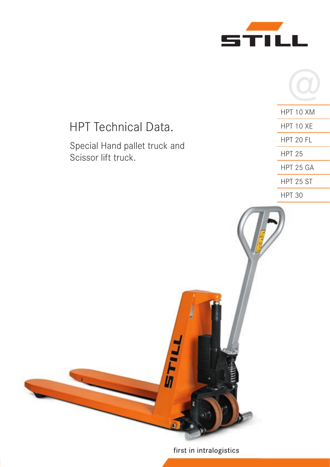



# HPT 10 XM HPT Technical Data. HPT 10 XE HPT 20 FL Special Hand pallet truck and HPT 25 Scissor lift truck. HPT 25 GA HPT 25 ST HPT 30 **TILE**

# first in intralogistics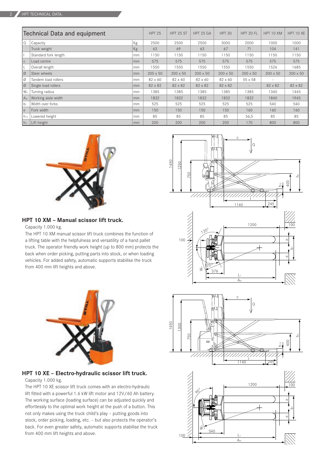| Technical Data and equipment |                      |    | <b>HPT 25</b>   | <b>HPT 25 ST</b> | HPT 25 GA       | <b>HPT 30</b>   | HPT 20 FL       | HPT 10 XM       | HPT 10 XE       |
|------------------------------|----------------------|----|-----------------|------------------|-----------------|-----------------|-----------------|-----------------|-----------------|
| I۵                           | Capacity             | Kg | 2500            | 2500             | 2500            | 3000            | 2000            | 1000            | 1000            |
|                              | Truck weight         | Kg | 63              | 69               | 63              | 67              | 71              | 104             | 141             |
|                              | Standard fork length | mm | 1150            | 1150             | 1150            | 1150            | 1150            | 1150            | 1150            |
| $\vert$ C                    | Load centre          | mm | 575             | 575              | 575             | 575             | 575             | 575             | 575             |
| L                            | Overall length       | mm | 1550            | 1550             | 1550            | 1550            | 1550            | 1526            | 1685            |
| $\overline{\varnothing}$     | Steer wheels         | mm | $200 \times 50$ | $200 \times 50$  | $200 \times 50$ | $200 \times 50$ | $200 \times 50$ | $200 \times 50$ | $200 \times 50$ |
| $\overline{\varnothing}$     | Tandem load rollers  | mm | 82 x 60         | 82 x 60          | 82 x 60         | 82 x 60         | $55 \times 58$  |                 |                 |
| $\overline{\varnothing}$     | Single load rollers  | mm | 82 x 82         | 82 x 82          | 82 x 82         | 82 x 82         |                 | 82 x 82         | 82 x 82         |
| W <sub>a</sub>               | Turning radius       | mm | 1385            | 1385             | 1385            | 1385            | 1385            | 1340            | 1445            |
| A <sub>st</sub>              | Working aisle width  | mm | 1832            | 1832             | 1832            | 1832            | 1832            | 1840            | 1945            |
| $b_1$                        | Width over forks     | mm | 525             | 525              | 525             | 525             | 525             | 540             | 540             |
| l e                          | Fork width           | mm | 150             | 150              | 150             | 150             | 160             | 160             | 160             |
| h <sub>13</sub>              | Lowered height       | mm | 85              | 85               | 85              | 85              | 56,5            | 85              | 85              |
| h <sub>3</sub>               | Lift height          | mm | 200             | 200              | 200             | 200             | 170             | 800             | 800             |



### **HPT 10 XM – Manual scissor lift truck.**

#### Capacity 1.000 kg.

The HPT 10 XM manual scissor lift truck combines the function of a lifting table with the helpfulness and versatility of a hand pallet truck. The operator friendly work height (up to 800 mm) protects the back when order picking, putting parts into stock, or when loading vehicles. For added safety, automatic supports stabilise the truck from 400 mm lift heights and above.



# **HPT 10 XE – Electro-hydraulic scissor lift truck.**

#### Capacity 1.000 kg.

The HPT 10 XE scissor lift truck comes with an electro-hydraulic lift fitted with a powerful 1.6 kW lift motor and 12V/60 Ah battery. The working surface (loading surface) can be adjusted quickly and effortlessly to the optimal work height at the push of a button. This not only makes using the truck child's play – putting goods into stock, order picking, loading, etc. – but also protects the operator's back. For even greater safety, automatic supports stabilise the truck from 400 mm lift heights and above.



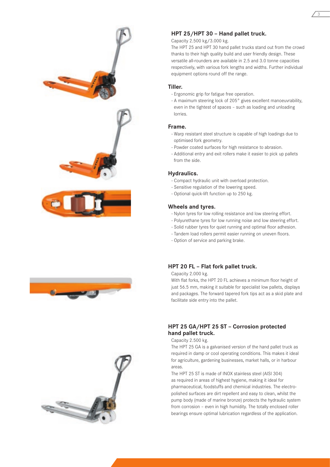## **HPT 25/HPT 30 – Hand pallet truck.**

#### Capacity 2.500 kg/3.000 kg.

The HPT 25 and HPT 30 hand pallet trucks stand out from the crowd thanks to their high quality build and user friendly design. These versatile all-rounders are available in 2.5 and 3.0 tonne capacities respectively, with various fork lengths and widths. Further individual equipment options round off the range.

3

#### **Tiller.**

- Ergonomic grip for fatigue free operation.
- A maximum steering lock of 205° gives excellent manoeuvrability, even in the tightest of spaces – such as loading and unloading lorries.

#### **Frame.**

- Warp resistant steel structure is capable of high loadings due to optimised fork geometry.
- Powder coated surfaces for high resistance to abrasion.
- Additional entry and exit rollers make it easier to pick up pallets from the side.

#### **Hydraulics.**

- Compact hydraulic unit with overload protection.
- Sensitive regulation of the lowering speed.
- Optional quick-lift function up to 250 kg.

#### **Wheels and tyres.**

- Nylon tyres for low rolling resistance and low steering effort.
- Polyurethane tyres for low running noise and low steering effort.
- Solid rubber tyres for quiet running and optimal floor adhesion.
- Tandem load rollers permit easier running on uneven floors.
- Option of service and parking brake.

#### **HPT 20 FL – Flat fork pallet truck.**

Capacity 2.000 kg.

With flat forks, the HPT 20 FL achieves a minimum floor height of just 56.5 mm, making it suitable for specialist low pallets, displays and packages. The forward tapered fork tips act as a skid plate and facilitate side entry into the pallet.

## **HPT 25 GA/HPT 25 ST – Corrosion protected hand pallet truck.**

#### Capacity 2.500 kg.

The HPT 25 GA is a galvanised version of the hand pallet truck as required in damp or cool operating conditions. This makes it ideal for agriculture, gardening businesses, market halls, or in harbour areas.

The HPT 25 ST is made of INOX stainless steel (AISI 304) as required in areas of highest hygiene, making it ideal for pharmaceutical, foodstuffs and chemical industries. The electropolished surfaces are dirt repellent and easy to clean, whilst the pump body (made of marine bronze) protects the hydraulic system from corrosion – even in high humidity. The totally enclosed roller bearings ensure optimal lubrication regardless of the application.